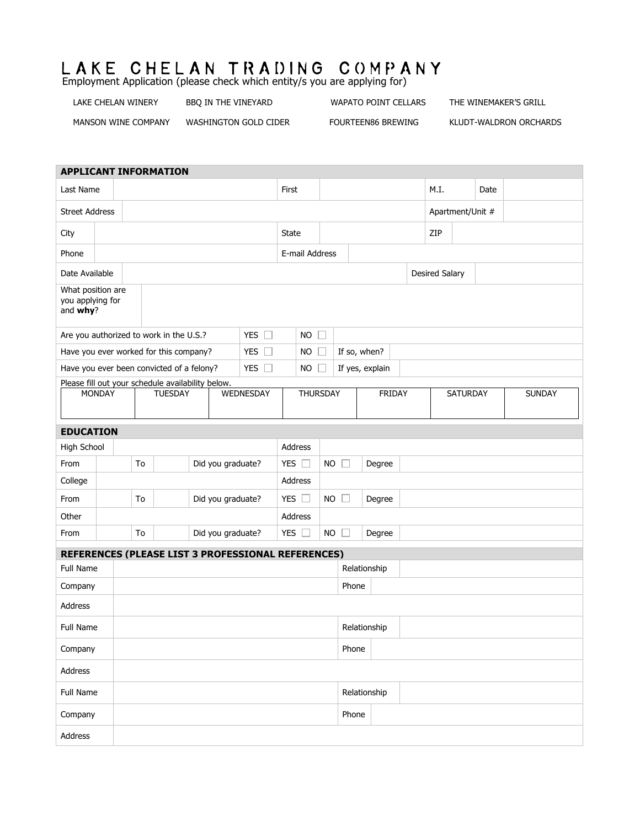## LAKE CHELAN TRADING COMPANY Employment Application (please check which entity/s you are applying for)

LAKE CHELAN WINERY BBQ IN THE VINEYARD WAPATO POINT CELLARS THE WINEMAKER'S GRILL

MANSON WINE COMPANY WASHINGTON GOLD CIDER FOURTEEN86 BREWING KLUDT-WALDRON ORCHARDS

| <b>APPLICANT INFORMATION</b>                                          |               |                                                              |  |                   |                   |                |                                                    |                |                 |                         |                  |               |  |      |          |      |               |  |
|-----------------------------------------------------------------------|---------------|--------------------------------------------------------------|--|-------------------|-------------------|----------------|----------------------------------------------------|----------------|-----------------|-------------------------|------------------|---------------|--|------|----------|------|---------------|--|
| Last Name                                                             |               |                                                              |  |                   |                   |                |                                                    | First          |                 |                         |                  |               |  | M.I. |          | Date |               |  |
| <b>Street Address</b>                                                 |               |                                                              |  |                   |                   |                |                                                    |                |                 |                         | Apartment/Unit # |               |  |      |          |      |               |  |
| City                                                                  |               |                                                              |  |                   |                   |                | State                                              |                |                 |                         | ZIP              |               |  |      |          |      |               |  |
| Phone                                                                 |               |                                                              |  |                   |                   |                | E-mail Address                                     |                |                 |                         |                  |               |  |      |          |      |               |  |
| Date Available                                                        |               |                                                              |  |                   |                   |                |                                                    |                |                 |                         | Desired Salary   |               |  |      |          |      |               |  |
| What position are<br>you applying for<br>and why?                     |               |                                                              |  |                   |                   |                |                                                    |                |                 |                         |                  |               |  |      |          |      |               |  |
| YES $\square$<br>Are you authorized to work in the U.S.?              |               |                                                              |  |                   |                   | <b>NO</b><br>П |                                                    |                |                 |                         |                  |               |  |      |          |      |               |  |
| Have you ever worked for this company?<br><b>YES</b><br>$\mathcal{L}$ |               |                                                              |  |                   |                   | <b>NO</b>      | If so, when?                                       |                |                 |                         |                  |               |  |      |          |      |               |  |
| YES $\square$<br>Have you ever been convicted of a felony?            |               |                                                              |  |                   |                   |                |                                                    | <b>NO</b>      |                 |                         | If yes, explain  |               |  |      |          |      |               |  |
|                                                                       | <b>MONDAY</b> | Please fill out your schedule availability below.<br>TUESDAY |  |                   |                   |                | WEDNESDAY                                          |                | <b>THURSDAY</b> |                         |                  | <b>FRIDAY</b> |  |      | SATURDAY |      | <b>SUNDAY</b> |  |
| <b>EDUCATION</b>                                                      |               |                                                              |  |                   |                   |                |                                                    |                |                 |                         |                  |               |  |      |          |      |               |  |
| <b>High School</b>                                                    |               |                                                              |  |                   |                   |                |                                                    | <b>Address</b> |                 |                         |                  |               |  |      |          |      |               |  |
| From                                                                  |               | To                                                           |  |                   | Did you graduate? |                |                                                    | YES $\square$  |                 | <b>NO</b><br><b>COL</b> |                  | Degree        |  |      |          |      |               |  |
| College                                                               |               |                                                              |  |                   |                   | Address        |                                                    |                |                 |                         |                  |               |  |      |          |      |               |  |
| From                                                                  |               | To                                                           |  | Did you graduate? |                   |                |                                                    | YES $\square$  |                 | $NO$ $\Box$<br>Degree   |                  |               |  |      |          |      |               |  |
| Other                                                                 |               |                                                              |  |                   |                   |                |                                                    | Address        |                 |                         |                  |               |  |      |          |      |               |  |
| From                                                                  |               | To                                                           |  |                   | Did you graduate? |                |                                                    | YES $\square$  |                 | $NO$ $\Box$             |                  | Degree        |  |      |          |      |               |  |
|                                                                       |               |                                                              |  |                   |                   |                | REFERENCES (PLEASE LIST 3 PROFESSIONAL REFERENCES) |                |                 |                         |                  |               |  |      |          |      |               |  |
| Full Name                                                             |               |                                                              |  |                   |                   |                |                                                    |                | Relationship    |                         |                  |               |  |      |          |      |               |  |
| Company                                                               |               |                                                              |  |                   |                   |                |                                                    |                |                 | Phone                   |                  |               |  |      |          |      |               |  |
| Address                                                               |               |                                                              |  |                   |                   |                |                                                    |                |                 |                         |                  |               |  |      |          |      |               |  |
| <b>Full Name</b>                                                      |               |                                                              |  |                   |                   |                |                                                    |                |                 | Relationship            |                  |               |  |      |          |      |               |  |
| Company                                                               |               |                                                              |  |                   |                   |                |                                                    |                |                 | Phone                   |                  |               |  |      |          |      |               |  |
| Address                                                               |               |                                                              |  |                   |                   |                |                                                    |                |                 |                         |                  |               |  |      |          |      |               |  |
| Full Name                                                             |               |                                                              |  |                   |                   |                |                                                    |                |                 |                         | Relationship     |               |  |      |          |      |               |  |
| Company                                                               |               |                                                              |  |                   |                   |                |                                                    |                |                 |                         | Phone            |               |  |      |          |      |               |  |
| Address                                                               |               |                                                              |  |                   |                   |                |                                                    |                |                 |                         |                  |               |  |      |          |      |               |  |